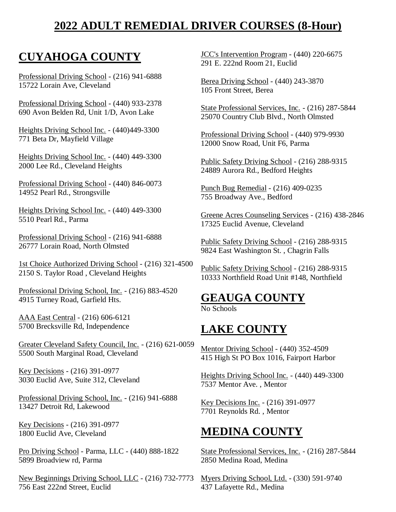# **2022 ADULT REMEDIAL DRIVER COURSES (8-Hour)**

# **CUYAHOGA COUNTY**

Professional Driving School - (216) 941-6888 15722 Lorain Ave, Cleveland

Professional Driving School - (440) 933-2378 690 Avon Belden Rd, Unit 1/D, Avon Lake

Heights Driving School Inc. - (440)449-3300 771 Beta Dr, Mayfield Village

Heights Driving School Inc. - (440) 449-3300 2000 Lee Rd., Cleveland Heights

Professional Driving School - (440) 846-0073 14952 Pearl Rd., Strongsville

Heights Driving School Inc. - (440) 449-3300 5510 Pearl Rd., Parma

Professional Driving School - (216) 941-6888 26777 Lorain Road, North Olmsted

1st Choice Authorized Driving School - (216) 321-4500 2150 S. Taylor Road , Cleveland Heights

Professional Driving School, Inc. - (216) 883-4520 4915 Turney Road, Garfield Hts.

AAA East Central - (216) 606-6121 5700 Brecksville Rd, Independence

Greater Cleveland Safety Council, Inc. - (216) 621-0059 5500 South Marginal Road, Cleveland

Key Decisions - (216) 391-0977 3030 Euclid Ave, Suite 312, Cleveland

Professional Driving School, Inc. - (216) 941-6888 13427 Detroit Rd, Lakewood

Key Decisions - (216) 391-0977 1800 Euclid Ave, Cleveland

Pro Driving School - Parma, LLC - (440) 888-1822 5899 Broadview rd, Parma

New Beginnings Driving School, LLC - (216) 732-7773 756 East 222nd Street, Euclid

JCC's Intervention Program - (440) 220-6675 291 E. 222nd Room 21, Euclid

Berea Driving School - (440) 243-3870 105 Front Street, Berea

State Professional Services, Inc. - (216) 287-5844 25070 Country Club Blvd., North Olmsted

Professional Driving School - (440) 979-9930 12000 Snow Road, Unit F6, Parma

Public Safety Driving School - (216) 288-9315 24889 Aurora Rd., Bedford Heights

Punch Bug Remedial - (216) 409-0235 755 Broadway Ave., Bedford

Greene Acres Counseling Services - (216) 438-2846 17325 Euclid Avenue, Cleveland

Public Safety Driving School - (216) 288-9315 9824 East Washington St. , Chagrin Falls

Public Safety Driving School - (216) 288-9315 10333 Northfield Road Unit #148, Northfield

#### **GEAUGA COUNTY**

No Schools

### **LAKE COUNTY**

Mentor Driving School - (440) 352-4509 415 High St PO Box 1016, Fairport Harbor

Heights Driving School Inc. - (440) 449-3300 7537 Mentor Ave. , Mentor

Key Decisions Inc. - (216) 391-0977 7701 Reynolds Rd. , Mentor

#### **MEDINA COUNTY**

State Professional Services, Inc. - (216) 287-5844 2850 Medina Road, Medina

Myers Driving School, Ltd. - (330) 591-9740 437 Lafayette Rd., Medina